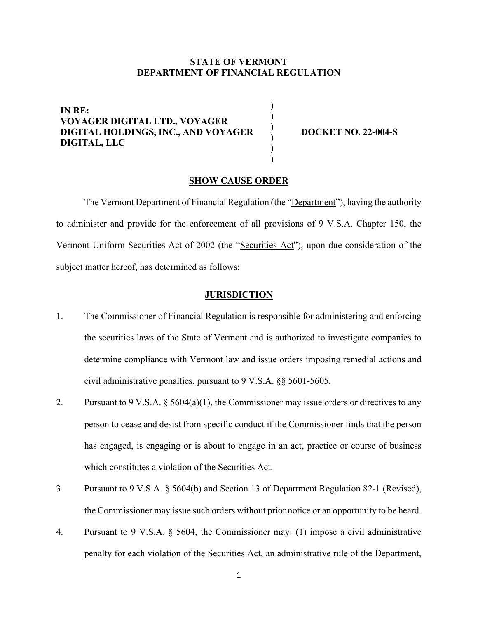# **STATE OF VERMONT DEPARTMENT OF FINANCIAL REGULATION**

)

) ) ) ) )

**IN RE: VOYAGER DIGITAL LTD., VOYAGER DIGITAL HOLDINGS, INC., AND VOYAGER DIGITAL, LLC**

**DOCKET NO. 22-004-S** 

## **SHOW CAUSE ORDER**

The Vermont Department of Financial Regulation (the "Department"), having the authority to administer and provide for the enforcement of all provisions of 9 V.S.A. Chapter 150, the Vermont Uniform Securities Act of 2002 (the "Securities Act"), upon due consideration of the subject matter hereof, has determined as follows:

### **JURISDICTION**

- 1. The Commissioner of Financial Regulation is responsible for administering and enforcing the securities laws of the State of Vermont and is authorized to investigate companies to determine compliance with Vermont law and issue orders imposing remedial actions and civil administrative penalties, pursuant to 9 V.S.A. §§ 5601-5605.
- 2. Pursuant to 9 V.S.A.  $\S$  5604(a)(1), the Commissioner may issue orders or directives to any person to cease and desist from specific conduct if the Commissioner finds that the person has engaged, is engaging or is about to engage in an act, practice or course of business which constitutes a violation of the Securities Act.
- 3. Pursuant to 9 V.S.A. § 5604(b) and Section 13 of Department Regulation 82-1 (Revised), the Commissioner may issue such orders without prior notice or an opportunity to be heard.
- 4. Pursuant to 9 V.S.A. § 5604, the Commissioner may: (1) impose a civil administrative penalty for each violation of the Securities Act, an administrative rule of the Department,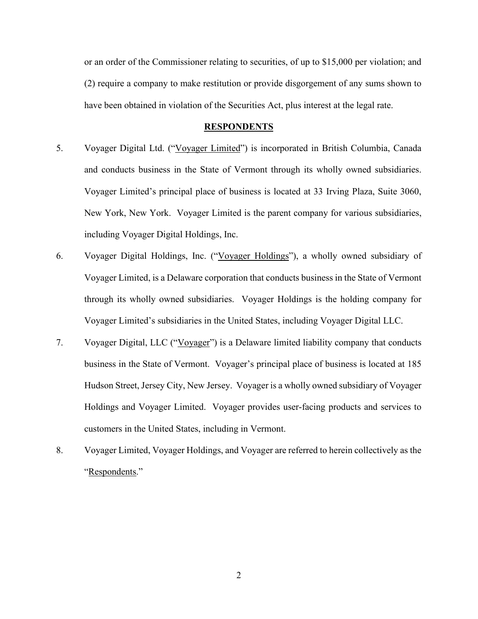or an order of the Commissioner relating to securities, of up to \$15,000 per violation; and (2) require a company to make restitution or provide disgorgement of any sums shown to have been obtained in violation of the Securities Act, plus interest at the legal rate.

#### **RESPONDENTS**

- 5. Voyager Digital Ltd. ("Voyager Limited") is incorporated in British Columbia, Canada and conducts business in the State of Vermont through its wholly owned subsidiaries. Voyager Limited's principal place of business is located at 33 Irving Plaza, Suite 3060, New York, New York. Voyager Limited is the parent company for various subsidiaries, including Voyager Digital Holdings, Inc.
- 6. Voyager Digital Holdings, Inc. ("Voyager Holdings"), a wholly owned subsidiary of Voyager Limited, is a Delaware corporation that conducts business in the State of Vermont through its wholly owned subsidiaries. Voyager Holdings is the holding company for Voyager Limited's subsidiaries in the United States, including Voyager Digital LLC.
- 7. Voyager Digital, LLC ("Voyager") is a Delaware limited liability company that conducts business in the State of Vermont. Voyager's principal place of business is located at 185 Hudson Street, Jersey City, New Jersey. Voyager is a wholly owned subsidiary of Voyager Holdings and Voyager Limited. Voyager provides user-facing products and services to customers in the United States, including in Vermont.
- 8. Voyager Limited, Voyager Holdings, and Voyager are referred to herein collectively as the "Respondents."

2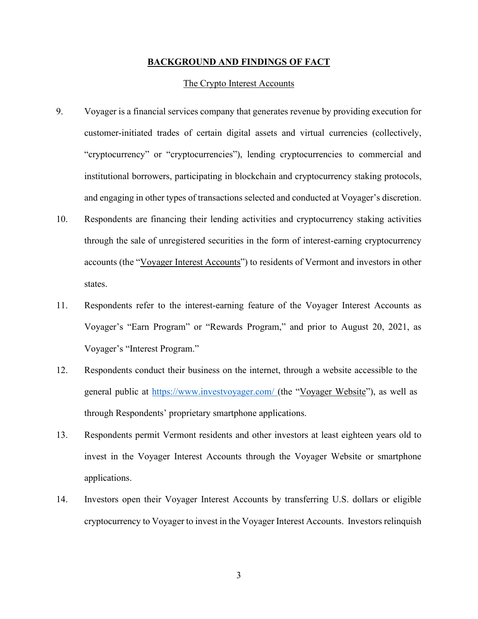### **BACKGROUND AND FINDINGS OF FACT**

## The Crypto Interest Accounts

- 9. Voyager is a financial services company that generates revenue by providing execution for customer-initiated trades of certain digital assets and virtual currencies (collectively, "cryptocurrency" or "cryptocurrencies"), lending cryptocurrencies to commercial and institutional borrowers, participating in blockchain and cryptocurrency staking protocols, and engaging in other types of transactions selected and conducted at Voyager's discretion.
- 10. Respondents are financing their lending activities and cryptocurrency staking activities through the sale of unregistered securities in the form of interest-earning cryptocurrency accounts (the "Voyager Interest Accounts") to residents of Vermont and investors in other states.
- 11. Respondents refer to the interest-earning feature of the Voyager Interest Accounts as Voyager's "Earn Program" or "Rewards Program," and prior to August 20, 2021, as Voyager's "Interest Program."
- 12. Respondents conduct their business on the internet, through a website accessible to the general public at https:/[/www.investvoyager.com/](http://www.investvoyager.com/) (the "Voyager Website"), as well as through Respondents' proprietary smartphone applications.
- 13. Respondents permit Vermont residents and other investors at least eighteen years old to invest in the Voyager Interest Accounts through the Voyager Website or smartphone applications.
- 14. Investors open their Voyager Interest Accounts by transferring U.S. dollars or eligible cryptocurrency to Voyager to invest in the Voyager Interest Accounts. Investors relinquish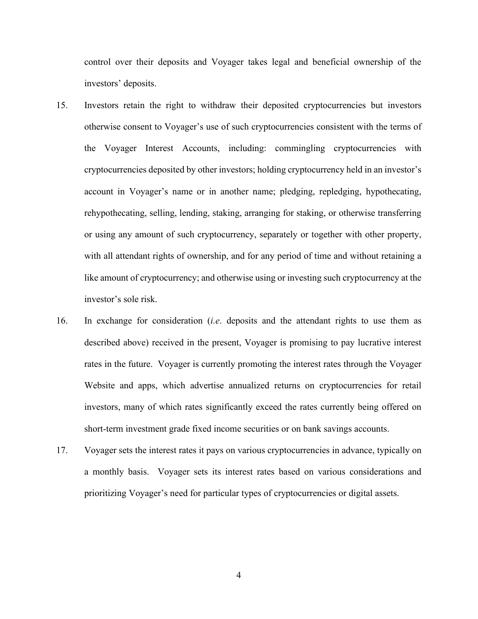control over their deposits and Voyager takes legal and beneficial ownership of the investors' deposits.

- 15. Investors retain the right to withdraw their deposited cryptocurrencies but investors otherwise consent to Voyager's use of such cryptocurrencies consistent with the terms of the Voyager Interest Accounts, including: commingling cryptocurrencies with cryptocurrencies deposited by other investors; holding cryptocurrency held in an investor's account in Voyager's name or in another name; pledging, repledging, hypothecating, rehypothecating, selling, lending, staking, arranging for staking, or otherwise transferring or using any amount of such cryptocurrency, separately or together with other property, with all attendant rights of ownership, and for any period of time and without retaining a like amount of cryptocurrency; and otherwise using or investing such cryptocurrency at the investor's sole risk.
- 16. In exchange for consideration (*i.e*. deposits and the attendant rights to use them as described above) received in the present, Voyager is promising to pay lucrative interest rates in the future. Voyager is currently promoting the interest rates through the Voyager Website and apps, which advertise annualized returns on cryptocurrencies for retail investors, many of which rates significantly exceed the rates currently being offered on short-term investment grade fixed income securities or on bank savings accounts.
- 17. Voyager sets the interest rates it pays on various cryptocurrencies in advance, typically on a monthly basis. Voyager sets its interest rates based on various considerations and prioritizing Voyager's need for particular types of cryptocurrencies or digital assets.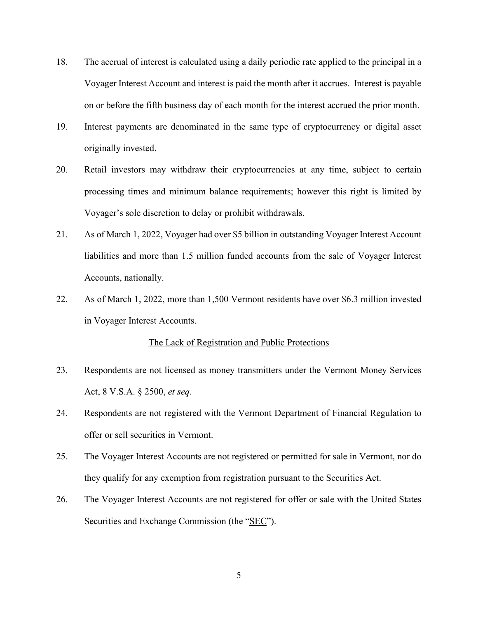- 18. The accrual of interest is calculated using a daily periodic rate applied to the principal in a Voyager Interest Account and interest is paid the month after it accrues. Interest is payable on or before the fifth business day of each month for the interest accrued the prior month.
- 19. Interest payments are denominated in the same type of cryptocurrency or digital asset originally invested.
- 20. Retail investors may withdraw their cryptocurrencies at any time, subject to certain processing times and minimum balance requirements; however this right is limited by Voyager's sole discretion to delay or prohibit withdrawals.
- 21. As of March 1, 2022, Voyager had over \$5 billion in outstanding Voyager Interest Account liabilities and more than 1.5 million funded accounts from the sale of Voyager Interest Accounts, nationally.
- 22. As of March 1, 2022, more than 1,500 Vermont residents have over \$6.3 million invested in Voyager Interest Accounts.

## The Lack of Registration and Public Protections

- 23. Respondents are not licensed as money transmitters under the Vermont Money Services Act, 8 V.S.A. § 2500, *et seq*.
- 24. Respondents are not registered with the Vermont Department of Financial Regulation to offer or sell securities in Vermont.
- 25. The Voyager Interest Accounts are not registered or permitted for sale in Vermont, nor do they qualify for any exemption from registration pursuant to the Securities Act.
- 26. The Voyager Interest Accounts are not registered for offer or sale with the United States Securities and Exchange Commission (the "SEC").

5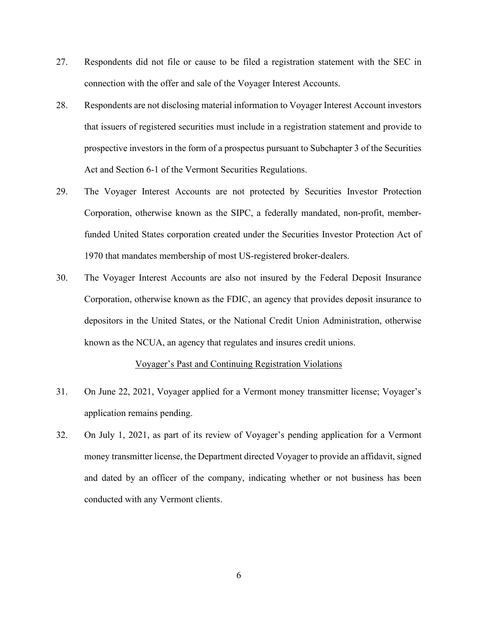- 27. Respondents did not file or cause to be filed a registration statement with the SEC in connection with the offer and sale of the Voyager Interest Accounts.
- 28. Respondents are not disclosing material information to Voyager Interest Account investors that issuers of registered securities must include in a registration statement and provide to prospective investors in the form of a prospectus pursuant to Subchapter 3 of the Securities Act and Section 6-1 of the Vermont Securities Regulations.
- 29. The Voyager Interest Accounts are not protected by Securities Investor Protection Corporation, otherwise known as the SIPC, a federally mandated, non-profit, memberfunded United States corporation created under the Securities Investor Protection Act of 1970 that mandates membership of most US-registered broker-dealers.
- 30. The Voyager Interest Accounts are also not insured by the Federal Deposit Insurance Corporation, otherwise known as the FDIC, an agency that provides deposit insurance to depositors in the United States, or the National Credit Union Administration, otherwise known as the NCUA, an agency that regulates and insures credit unions.

# Voyager's Past and Continuing Registration Violations

- 31. On June 22, 2021, Voyager applied for a Vermont money transmitter license; Voyager's application remains pending.
- 32. On July 1, 2021, as part of its review of Voyager's pending application for a Vermont money transmitter license, the Department directed Voyager to provide an affidavit, signed and dated by an officer of the company, indicating whether or not business has been conducted with any Vermont clients.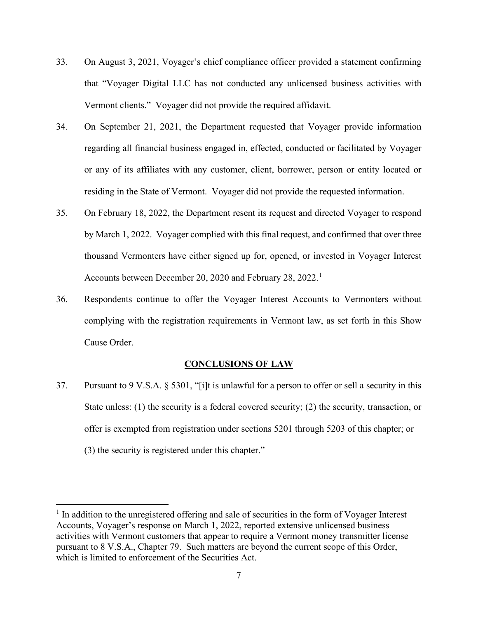- 33. On August 3, 2021, Voyager's chief compliance officer provided a statement confirming that "Voyager Digital LLC has not conducted any unlicensed business activities with Vermont clients." Voyager did not provide the required affidavit.
- 34. On September 21, 2021, the Department requested that Voyager provide information regarding all financial business engaged in, effected, conducted or facilitated by Voyager or any of its affiliates with any customer, client, borrower, person or entity located or residing in the State of Vermont. Voyager did not provide the requested information.
- 35. On February 18, 2022, the Department resent its request and directed Voyager to respond by March 1, 2022. Voyager complied with this final request, and confirmed that over three thousand Vermonters have either signed up for, opened, or invested in Voyager Interest Accounts between December 20, 2020 and February 28, 2022.<sup>[1](#page-6-0)</sup>
- 36. Respondents continue to offer the Voyager Interest Accounts to Vermonters without complying with the registration requirements in Vermont law, as set forth in this Show Cause Order.

# **CONCLUSIONS OF LAW**

37. Pursuant to 9 V.S.A. § 5301, "[i]t is unlawful for a person to offer or sell a security in this State unless: (1) the security is a federal covered security; (2) the security, transaction, or offer is exempted from registration under sections 5201 through 5203 of this chapter; or (3) the security is registered under this chapter."

<span id="page-6-0"></span><sup>&</sup>lt;sup>1</sup> In addition to the unregistered offering and sale of securities in the form of Voyager Interest Accounts, Voyager's response on March 1, 2022, reported extensive unlicensed business activities with Vermont customers that appear to require a Vermont money transmitter license pursuant to 8 V.S.A., Chapter 79. Such matters are beyond the current scope of this Order, which is limited to enforcement of the Securities Act.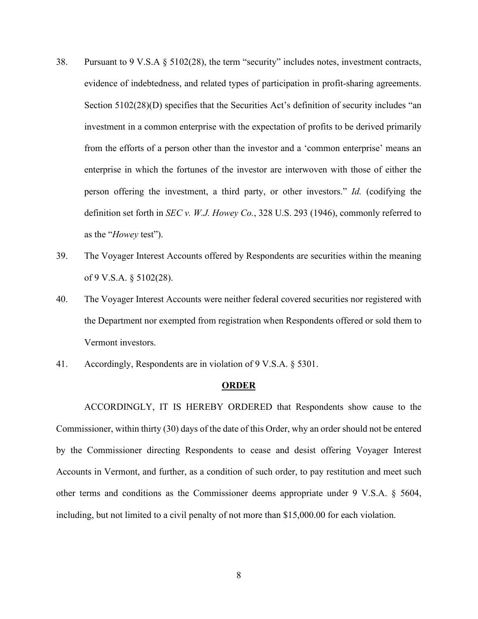- 38. Pursuant to 9 V.S.A § 5102(28), the term "security" includes notes, investment contracts, evidence of indebtedness, and related types of participation in profit-sharing agreements. Section 5102(28)(D) specifies that the Securities Act's definition of security includes "an investment in a common enterprise with the expectation of profits to be derived primarily from the efforts of a person other than the investor and a 'common enterprise' means an enterprise in which the fortunes of the investor are interwoven with those of either the person offering the investment, a third party, or other investors." *Id.* (codifying the definition set forth in *SEC v. W.J. Howey Co.*, 328 U.S. 293 (1946), commonly referred to as the "*Howey* test").
- 39. The Voyager Interest Accounts offered by Respondents are securities within the meaning of 9 V.S.A. § 5102(28).
- 40. The Voyager Interest Accounts were neither federal covered securities nor registered with the Department nor exempted from registration when Respondents offered or sold them to Vermont investors.
- 41. Accordingly, Respondents are in violation of 9 V.S.A. § 5301.

#### **ORDER**

ACCORDINGLY, IT IS HEREBY ORDERED that Respondents show cause to the Commissioner, within thirty (30) days of the date of this Order, why an order should not be entered by the Commissioner directing Respondents to cease and desist offering Voyager Interest Accounts in Vermont, and further, as a condition of such order, to pay restitution and meet such other terms and conditions as the Commissioner deems appropriate under 9 V.S.A. § 5604, including, but not limited to a civil penalty of not more than \$15,000.00 for each violation.